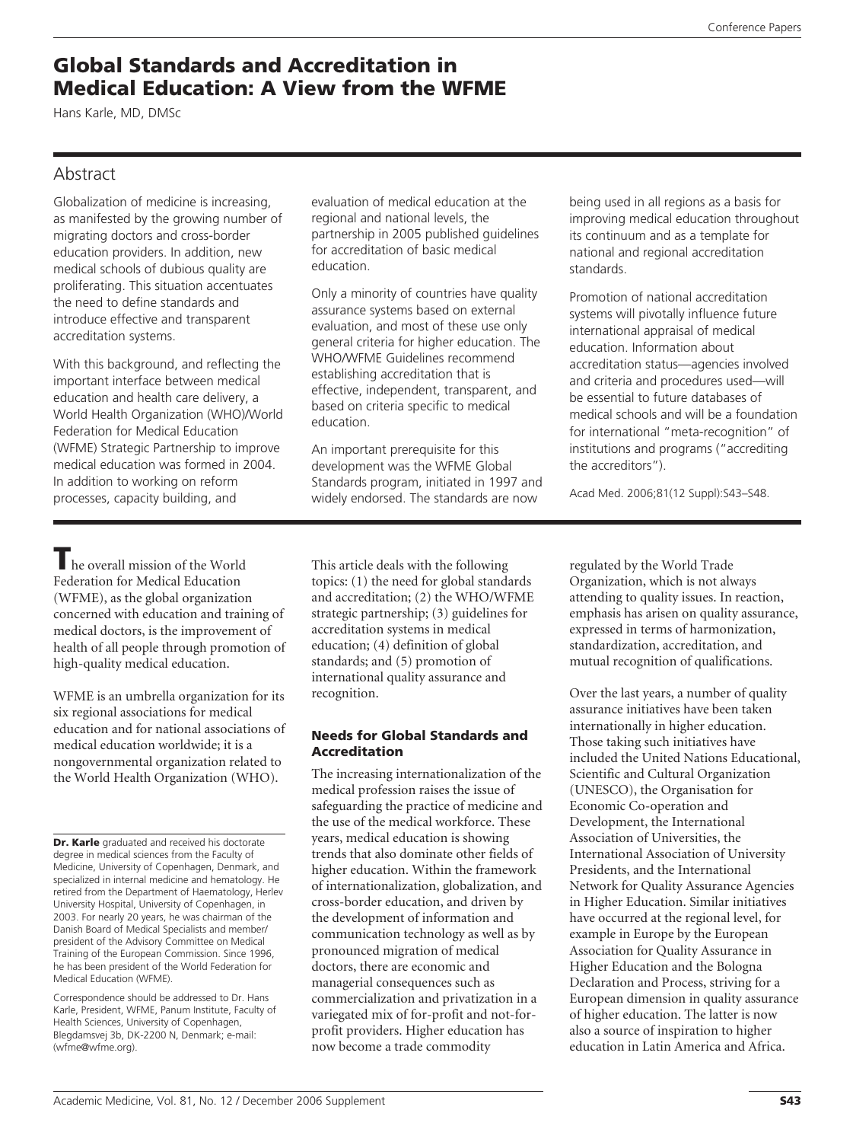# **Global Standards and Accreditation in Medical Education: A View from the WFME**

Hans Karle, MD, DMSc

## Abstract

Globalization of medicine is increasing, as manifested by the growing number of migrating doctors and cross-border education providers. In addition, new medical schools of dubious quality are proliferating. This situation accentuates the need to define standards and introduce effective and transparent accreditation systems.

With this background, and reflecting the important interface between medical education and health care delivery, a World Health Organization (WHO)/World Federation for Medical Education (WFME) Strategic Partnership to improve medical education was formed in 2004. In addition to working on reform processes, capacity building, and

evaluation of medical education at the regional and national levels, the partnership in 2005 published guidelines for accreditation of basic medical education.

Only a minority of countries have quality assurance systems based on external evaluation, and most of these use only general criteria for higher education. The WHO/WFME Guidelines recommend establishing accreditation that is effective, independent, transparent, and based on criteria specific to medical education.

An important prerequisite for this development was the WFME Global Standards program, initiated in 1997 and widely endorsed. The standards are now

being used in all regions as a basis for improving medical education throughout its continuum and as a template for national and regional accreditation standards.

Promotion of national accreditation systems will pivotally influence future international appraisal of medical education. Information about accreditation status—agencies involved and criteria and procedures used—will be essential to future databases of medical schools and will be a foundation for international "meta-recognition" of institutions and programs ("accrediting the accreditors").

Acad Med. 2006;81(12 Suppl):S43–S48.

**T**he overall mission of the World Federation for Medical Education (WFME), as the global organization concerned with education and training of medical doctors, is the improvement of health of all people through promotion of high-quality medical education.

WFME is an umbrella organization for its six regional associations for medical education and for national associations of medical education worldwide; it is a nongovernmental organization related to the World Health Organization (WHO).

Correspondence should be addressed to Dr. Hans Karle, President, WFME, Panum Institute, Faculty of Health Sciences, University of Copenhagen, Blegdamsvej 3b, DK-2200 N, Denmark; e-mail: (wfme@wfme.org).

This article deals with the following topics: (1) the need for global standards and accreditation; (2) the WHO/WFME strategic partnership; (3) guidelines for accreditation systems in medical education; (4) definition of global standards; and (5) promotion of international quality assurance and recognition.

### **Needs for Global Standards and Accreditation**

The increasing internationalization of the medical profession raises the issue of safeguarding the practice of medicine and the use of the medical workforce. These years, medical education is showing trends that also dominate other fields of higher education. Within the framework of internationalization, globalization, and cross-border education, and driven by the development of information and communication technology as well as by pronounced migration of medical doctors, there are economic and managerial consequences such as commercialization and privatization in a variegated mix of for-profit and not-forprofit providers. Higher education has now become a trade commodity

regulated by the World Trade Organization, which is not always attending to quality issues. In reaction, emphasis has arisen on quality assurance, expressed in terms of harmonization, standardization, accreditation, and mutual recognition of qualifications.

Over the last years, a number of quality assurance initiatives have been taken internationally in higher education. Those taking such initiatives have included the United Nations Educational, Scientific and Cultural Organization (UNESCO), the Organisation for Economic Co-operation and Development, the International Association of Universities, the International Association of University Presidents, and the International Network for Quality Assurance Agencies in Higher Education. Similar initiatives have occurred at the regional level, for example in Europe by the European Association for Quality Assurance in Higher Education and the Bologna Declaration and Process, striving for a European dimension in quality assurance of higher education. The latter is now also a source of inspiration to higher education in Latin America and Africa.

**Dr. Karle** graduated and received his doctorate degree in medical sciences from the Faculty of Medicine, University of Copenhagen, Denmark, and specialized in internal medicine and hematology. He retired from the Department of Haematology, Herlev University Hospital, University of Copenhagen, in 2003. For nearly 20 years, he was chairman of the Danish Board of Medical Specialists and member/ president of the Advisory Committee on Medical Training of the European Commission. Since 1996, he has been president of the World Federation for Medical Education (WFME).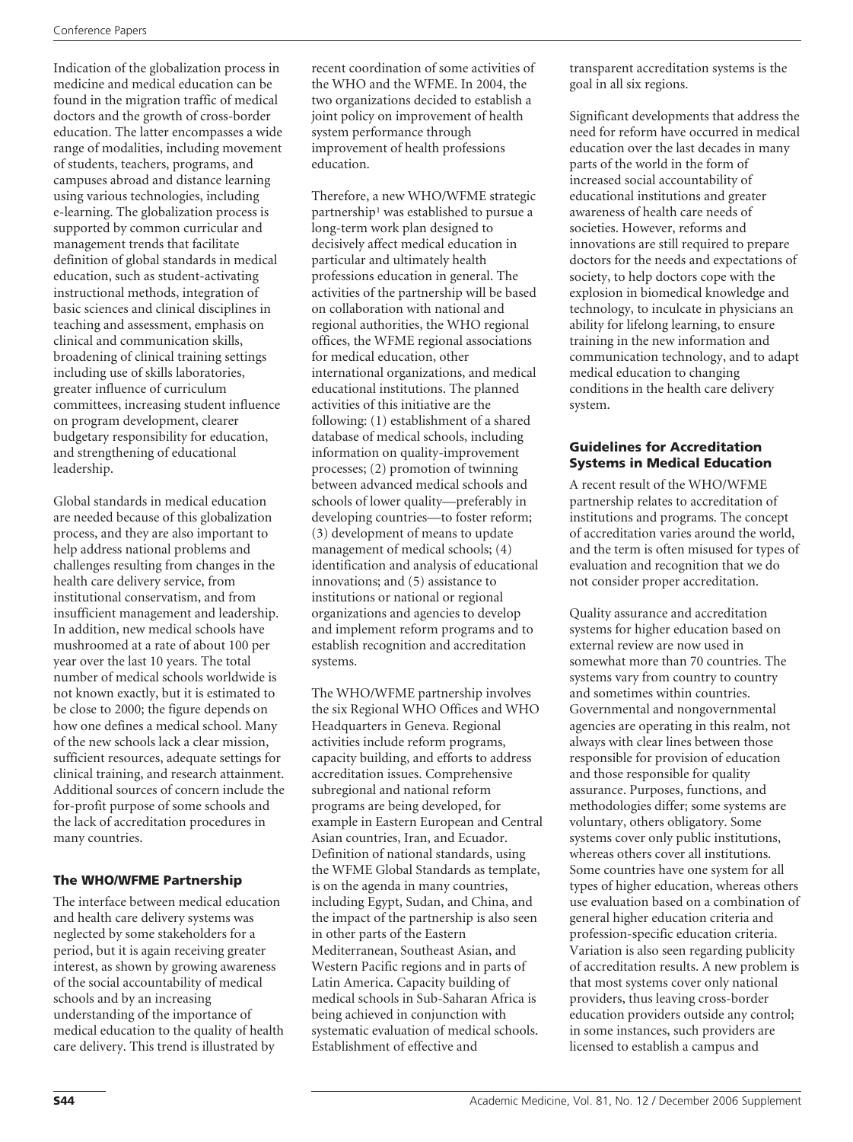Indication of the globalization process in medicine and medical education can be found in the migration traffic of medical doctors and the growth of cross-border education. The latter encompasses a wide range of modalities, including movement of students, teachers, programs, and campuses abroad and distance learning using various technologies, including e-learning. The globalization process is supported by common curricular and management trends that facilitate definition of global standards in medical education, such as student-activating instructional methods, integration of basic sciences and clinical disciplines in teaching and assessment, emphasis on clinical and communication skills, broadening of clinical training settings including use of skills laboratories, greater influence of curriculum committees, increasing student influence on program development, clearer budgetary responsibility for education, and strengthening of educational leadership.

Global standards in medical education are needed because of this globalization process, and they are also important to help address national problems and challenges resulting from changes in the health care delivery service, from institutional conservatism, and from insufficient management and leadership. In addition, new medical schools have mushroomed at a rate of about 100 per year over the last 10 years. The total number of medical schools worldwide is not known exactly, but it is estimated to be close to 2000; the figure depends on how one defines a medical school. Many of the new schools lack a clear mission, sufficient resources, adequate settings for clinical training, and research attainment. Additional sources of concern include the for-profit purpose of some schools and the lack of accreditation procedures in many countries.

## **The WHO/WFME Partnership**

The interface between medical education and health care delivery systems was neglected by some stakeholders for a period, but it is again receiving greater interest, as shown by growing awareness of the social accountability of medical schools and by an increasing understanding of the importance of medical education to the quality of health care delivery. This trend is illustrated by

recent coordination of some activities of the WHO and the WFME. In 2004, the two organizations decided to establish a joint policy on improvement of health system performance through improvement of health professions education.

Therefore, a new WHO/WFME strategic partnership<sup>1</sup> was established to pursue a long-term work plan designed to decisively affect medical education in particular and ultimately health professions education in general. The activities of the partnership will be based on collaboration with national and regional authorities, the WHO regional offices, the WFME regional associations for medical education, other international organizations, and medical educational institutions. The planned activities of this initiative are the following: (1) establishment of a shared database of medical schools, including information on quality-improvement processes; (2) promotion of twinning between advanced medical schools and schools of lower quality—preferably in developing countries—to foster reform; (3) development of means to update management of medical schools; (4) identification and analysis of educational innovations; and (5) assistance to institutions or national or regional organizations and agencies to develop and implement reform programs and to establish recognition and accreditation systems.

The WHO/WFME partnership involves the six Regional WHO Offices and WHO Headquarters in Geneva. Regional activities include reform programs, capacity building, and efforts to address accreditation issues. Comprehensive subregional and national reform programs are being developed, for example in Eastern European and Central Asian countries, Iran, and Ecuador. Definition of national standards, using the WFME Global Standards as template, is on the agenda in many countries, including Egypt, Sudan, and China, and the impact of the partnership is also seen in other parts of the Eastern Mediterranean, Southeast Asian, and Western Pacific regions and in parts of Latin America. Capacity building of medical schools in Sub-Saharan Africa is being achieved in conjunction with systematic evaluation of medical schools. Establishment of effective and

transparent accreditation systems is the goal in all six regions.

Significant developments that address the need for reform have occurred in medical education over the last decades in many parts of the world in the form of increased social accountability of educational institutions and greater awareness of health care needs of societies. However, reforms and innovations are still required to prepare doctors for the needs and expectations of society, to help doctors cope with the explosion in biomedical knowledge and technology, to inculcate in physicians an ability for lifelong learning, to ensure training in the new information and communication technology, and to adapt medical education to changing conditions in the health care delivery system.

#### **Guidelines for Accreditation Systems in Medical Education**

A recent result of the WHO/WFME partnership relates to accreditation of institutions and programs. The concept of accreditation varies around the world, and the term is often misused for types of evaluation and recognition that we do not consider proper accreditation.

Quality assurance and accreditation systems for higher education based on external review are now used in somewhat more than 70 countries. The systems vary from country to country and sometimes within countries. Governmental and nongovernmental agencies are operating in this realm, not always with clear lines between those responsible for provision of education and those responsible for quality assurance. Purposes, functions, and methodologies differ; some systems are voluntary, others obligatory. Some systems cover only public institutions, whereas others cover all institutions. Some countries have one system for all types of higher education, whereas others use evaluation based on a combination of general higher education criteria and profession-specific education criteria. Variation is also seen regarding publicity of accreditation results. A new problem is that most systems cover only national providers, thus leaving cross-border education providers outside any control; in some instances, such providers are licensed to establish a campus and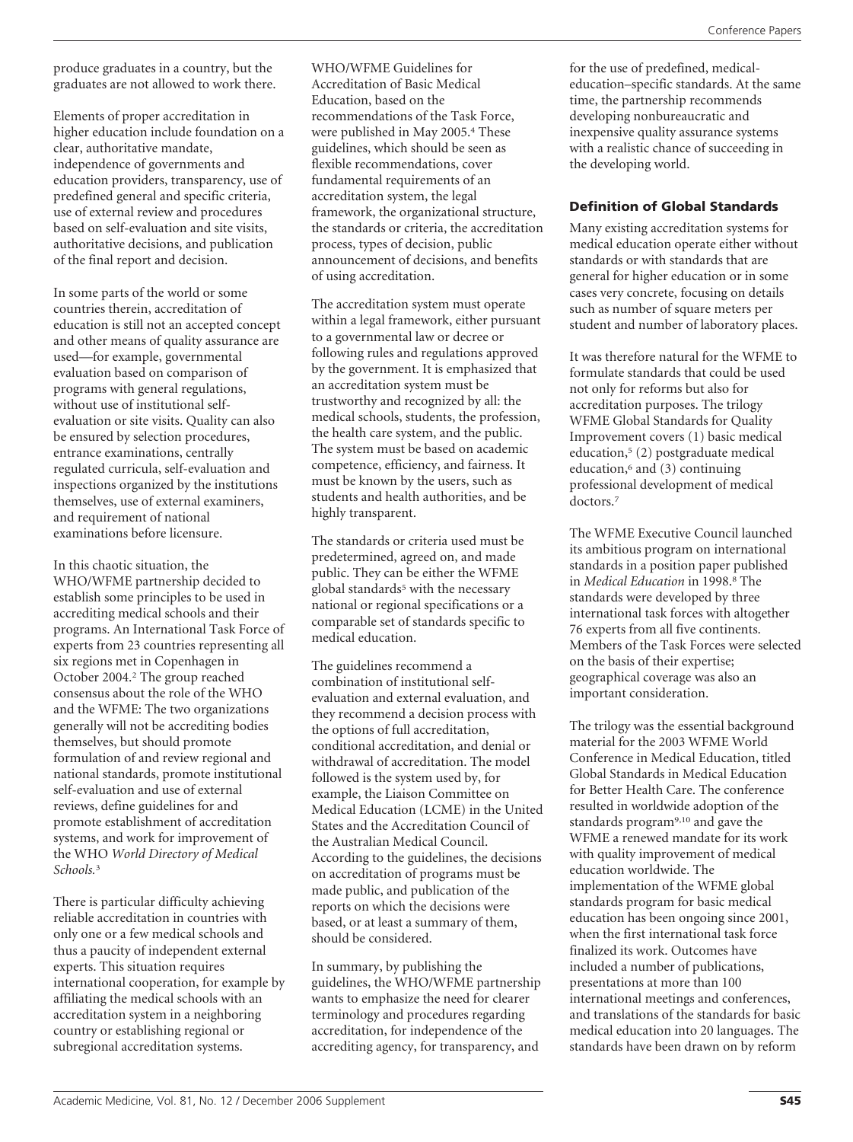produce graduates in a country, but the graduates are not allowed to work there.

Elements of proper accreditation in higher education include foundation on a clear, authoritative mandate, independence of governments and education providers, transparency, use of predefined general and specific criteria, use of external review and procedures based on self-evaluation and site visits, authoritative decisions, and publication of the final report and decision.

In some parts of the world or some countries therein, accreditation of education is still not an accepted concept and other means of quality assurance are used—for example, governmental evaluation based on comparison of programs with general regulations, without use of institutional selfevaluation or site visits. Quality can also be ensured by selection procedures, entrance examinations, centrally regulated curricula, self-evaluation and inspections organized by the institutions themselves, use of external examiners, and requirement of national examinations before licensure.

In this chaotic situation, the WHO/WFME partnership decided to establish some principles to be used in accrediting medical schools and their programs. An International Task Force of experts from 23 countries representing all six regions met in Copenhagen in October 2004.2 The group reached consensus about the role of the WHO and the WFME: The two organizations generally will not be accrediting bodies themselves, but should promote formulation of and review regional and national standards, promote institutional self-evaluation and use of external reviews, define guidelines for and promote establishment of accreditation systems, and work for improvement of the WHO *World Directory of Medical Schools.*<sup>3</sup>

There is particular difficulty achieving reliable accreditation in countries with only one or a few medical schools and thus a paucity of independent external experts. This situation requires international cooperation, for example by affiliating the medical schools with an accreditation system in a neighboring country or establishing regional or subregional accreditation systems.

WHO/WFME Guidelines for Accreditation of Basic Medical Education, based on the recommendations of the Task Force, were published in May 2005.4 These guidelines, which should be seen as flexible recommendations, cover fundamental requirements of an accreditation system, the legal framework, the organizational structure, the standards or criteria, the accreditation process, types of decision, public announcement of decisions, and benefits of using accreditation.

The accreditation system must operate within a legal framework, either pursuant to a governmental law or decree or following rules and regulations approved by the government. It is emphasized that an accreditation system must be trustworthy and recognized by all: the medical schools, students, the profession, the health care system, and the public. The system must be based on academic competence, efficiency, and fairness. It must be known by the users, such as students and health authorities, and be highly transparent.

The standards or criteria used must be predetermined, agreed on, and made public. They can be either the WFME global standards<sup>5</sup> with the necessary national or regional specifications or a comparable set of standards specific to medical education.

The guidelines recommend a combination of institutional selfevaluation and external evaluation, and they recommend a decision process with the options of full accreditation, conditional accreditation, and denial or withdrawal of accreditation. The model followed is the system used by, for example, the Liaison Committee on Medical Education (LCME) in the United States and the Accreditation Council of the Australian Medical Council. According to the guidelines, the decisions on accreditation of programs must be made public, and publication of the reports on which the decisions were based, or at least a summary of them, should be considered.

In summary, by publishing the guidelines, the WHO/WFME partnership wants to emphasize the need for clearer terminology and procedures regarding accreditation, for independence of the accrediting agency, for transparency, and

for the use of predefined, medicaleducation–specific standards. At the same time, the partnership recommends developing nonbureaucratic and inexpensive quality assurance systems with a realistic chance of succeeding in the developing world.

## **Definition of Global Standards**

Many existing accreditation systems for medical education operate either without standards or with standards that are general for higher education or in some cases very concrete, focusing on details such as number of square meters per student and number of laboratory places.

It was therefore natural for the WFME to formulate standards that could be used not only for reforms but also for accreditation purposes. The trilogy WFME Global Standards for Quality Improvement covers (1) basic medical education,5 (2) postgraduate medical education, $6$  and  $(3)$  continuing professional development of medical doctors.7

The WFME Executive Council launched its ambitious program on international standards in a position paper published in *Medical Education* in 1998.8 The standards were developed by three international task forces with altogether 76 experts from all five continents. Members of the Task Forces were selected on the basis of their expertise; geographical coverage was also an important consideration.

The trilogy was the essential background material for the 2003 WFME World Conference in Medical Education, titled Global Standards in Medical Education for Better Health Care. The conference resulted in worldwide adoption of the standards program9,10 and gave the WFME a renewed mandate for its work with quality improvement of medical education worldwide. The implementation of the WFME global standards program for basic medical education has been ongoing since 2001, when the first international task force finalized its work. Outcomes have included a number of publications, presentations at more than 100 international meetings and conferences, and translations of the standards for basic medical education into 20 languages. The standards have been drawn on by reform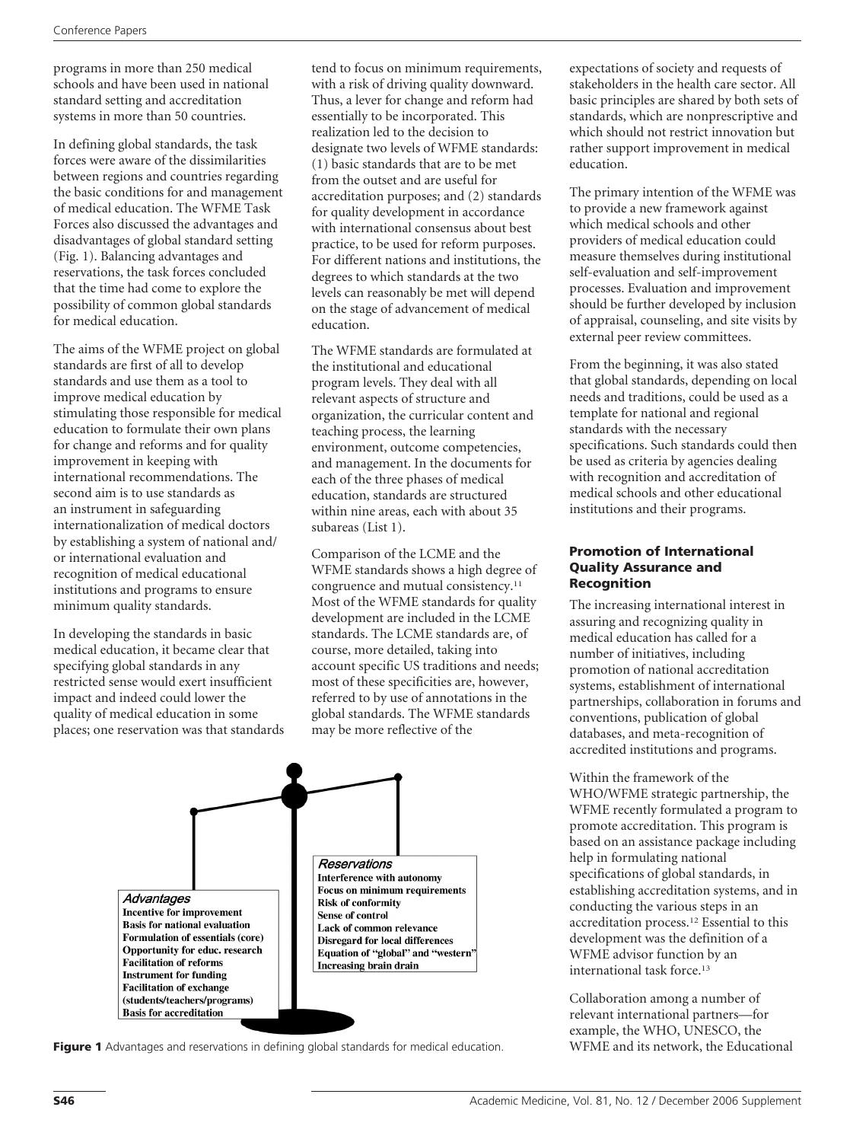programs in more than 250 medical schools and have been used in national standard setting and accreditation systems in more than 50 countries.

In defining global standards, the task forces were aware of the dissimilarities between regions and countries regarding the basic conditions for and management of medical education. The WFME Task Forces also discussed the advantages and disadvantages of global standard setting (Fig. 1). Balancing advantages and reservations, the task forces concluded that the time had come to explore the possibility of common global standards for medical education.

The aims of the WFME project on global standards are first of all to develop standards and use them as a tool to improve medical education by stimulating those responsible for medical education to formulate their own plans for change and reforms and for quality improvement in keeping with international recommendations. The second aim is to use standards as an instrument in safeguarding internationalization of medical doctors by establishing a system of national and/ or international evaluation and recognition of medical educational institutions and programs to ensure minimum quality standards.

In developing the standards in basic medical education, it became clear that specifying global standards in any restricted sense would exert insufficient impact and indeed could lower the quality of medical education in some places; one reservation was that standards

tend to focus on minimum requirements, with a risk of driving quality downward. Thus, a lever for change and reform had essentially to be incorporated. This realization led to the decision to designate two levels of WFME standards: (1) basic standards that are to be met from the outset and are useful for accreditation purposes; and (2) standards for quality development in accordance with international consensus about best practice, to be used for reform purposes. For different nations and institutions, the degrees to which standards at the two levels can reasonably be met will depend on the stage of advancement of medical education.

The WFME standards are formulated at the institutional and educational program levels. They deal with all relevant aspects of structure and organization, the curricular content and teaching process, the learning environment, outcome competencies, and management. In the documents for each of the three phases of medical education, standards are structured within nine areas, each with about 35 subareas (List 1).

Comparison of the LCME and the WFME standards shows a high degree of congruence and mutual consistency.<sup>11</sup> Most of the WFME standards for quality development are included in the LCME standards. The LCME standards are, of course, more detailed, taking into account specific US traditions and needs; most of these specificities are, however, referred to by use of annotations in the global standards. The WFME standards may be more reflective of the



Figure 1 Advantages and reservations in defining global standards for medical education. WFME and its network, the Educational

expectations of society and requests of stakeholders in the health care sector. All basic principles are shared by both sets of standards, which are nonprescriptive and which should not restrict innovation but rather support improvement in medical education.

The primary intention of the WFME was to provide a new framework against which medical schools and other providers of medical education could measure themselves during institutional self-evaluation and self-improvement processes. Evaluation and improvement should be further developed by inclusion of appraisal, counseling, and site visits by external peer review committees.

From the beginning, it was also stated that global standards, depending on local needs and traditions, could be used as a template for national and regional standards with the necessary specifications. Such standards could then be used as criteria by agencies dealing with recognition and accreditation of medical schools and other educational institutions and their programs.

#### **Promotion of International Quality Assurance and Recognition**

The increasing international interest in assuring and recognizing quality in medical education has called for a number of initiatives, including promotion of national accreditation systems, establishment of international partnerships, collaboration in forums and conventions, publication of global databases, and meta-recognition of accredited institutions and programs.

Within the framework of the WHO/WFME strategic partnership, the WFME recently formulated a program to promote accreditation. This program is based on an assistance package including help in formulating national specifications of global standards, in establishing accreditation systems, and in conducting the various steps in an accreditation process.12 Essential to this development was the definition of a WFME advisor function by an international task force.13

Collaboration among a number of relevant international partners—for example, the WHO, UNESCO, the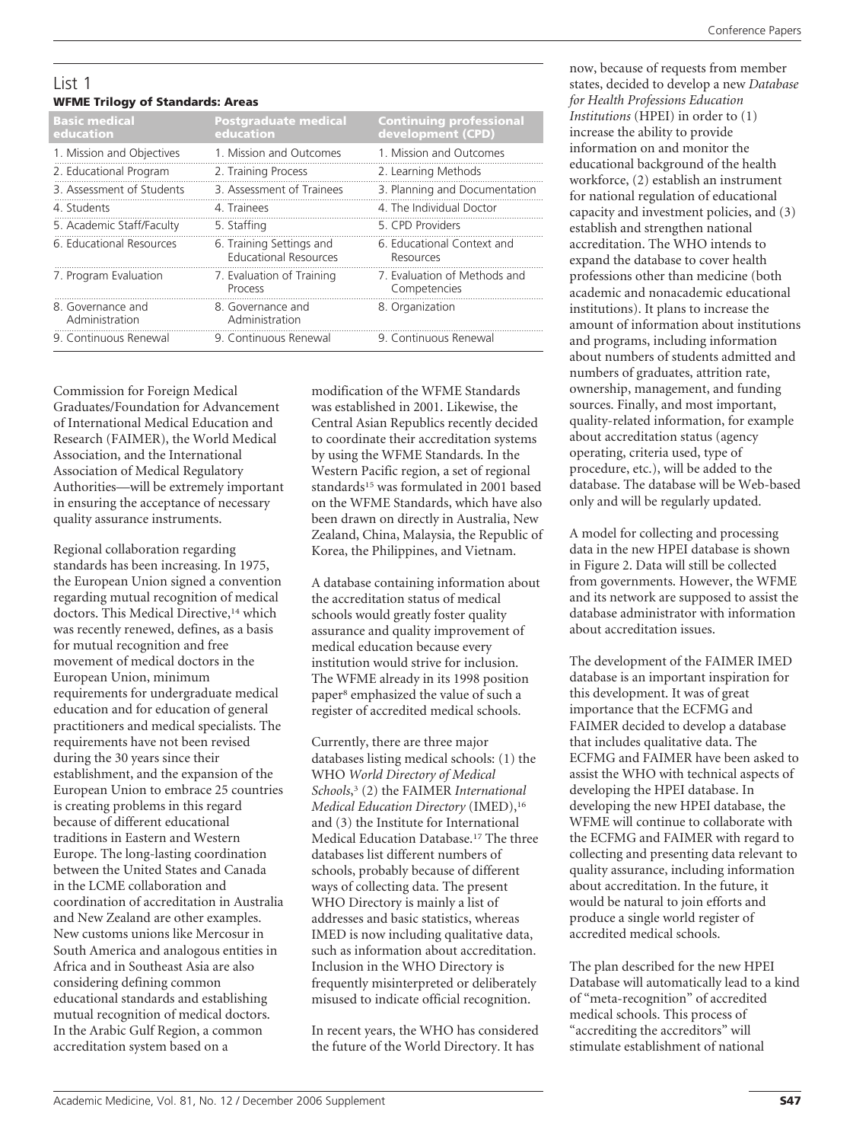#### List 1 **WFME Trilogy of Standards: Areas**

| $\frac{1}{2}$                       |                                                          |                                                     |
|-------------------------------------|----------------------------------------------------------|-----------------------------------------------------|
| <b>Basic medical</b><br>education   | <b>Postgraduate medical</b><br>education                 | <b>Continuing professional</b><br>development (CPD) |
| 1. Mission and Objectives           | 1. Mission and Outcomes                                  | 1. Mission and Outcomes                             |
| 2. Educational Program              | 2. Training Process                                      | 2. Learning Methods                                 |
| 3. Assessment of Students           | 3. Assessment of Trainees                                | 3. Planning and Documentation                       |
| 4. Students                         | 4. Trainees                                              | 4. The Individual Doctor                            |
| 5. Academic Staff/Faculty           | 5. Staffing                                              | 5. CPD Providers                                    |
| 6. Educational Resources            | 6. Training Settings and<br><b>Educational Resources</b> | 6. Educational Context and<br>Resources             |
| 7. Program Evaluation               | 7. Evaluation of Training<br>Process                     | 7. Evaluation of Methods and<br>Competencies        |
| 8. Governance and<br>Administration | 8. Governance and<br>Administration                      | 8. Organization                                     |
| 9. Continuous Renewal               | 9. Continuous Renewal                                    | 9. Continuous Renewal                               |

Commission for Foreign Medical Graduates/Foundation for Advancement of International Medical Education and Research (FAIMER), the World Medical Association, and the International Association of Medical Regulatory Authorities—will be extremely important in ensuring the acceptance of necessary quality assurance instruments.

Regional collaboration regarding standards has been increasing. In 1975, the European Union signed a convention regarding mutual recognition of medical doctors. This Medical Directive,<sup>14</sup> which was recently renewed, defines, as a basis for mutual recognition and free movement of medical doctors in the European Union, minimum requirements for undergraduate medical education and for education of general practitioners and medical specialists. The requirements have not been revised during the 30 years since their establishment, and the expansion of the European Union to embrace 25 countries is creating problems in this regard because of different educational traditions in Eastern and Western Europe. The long-lasting coordination between the United States and Canada in the LCME collaboration and coordination of accreditation in Australia and New Zealand are other examples. New customs unions like Mercosur in South America and analogous entities in Africa and in Southeast Asia are also considering defining common educational standards and establishing mutual recognition of medical doctors. In the Arabic Gulf Region, a common accreditation system based on a

modification of the WFME Standards was established in 2001. Likewise, the Central Asian Republics recently decided to coordinate their accreditation systems by using the WFME Standards. In the Western Pacific region, a set of regional standards<sup>15</sup> was formulated in 2001 based on the WFME Standards, which have also been drawn on directly in Australia, New Zealand, China, Malaysia, the Republic of Korea, the Philippines, and Vietnam.

A database containing information about the accreditation status of medical schools would greatly foster quality assurance and quality improvement of medical education because every institution would strive for inclusion. The WFME already in its 1998 position paper8 emphasized the value of such a register of accredited medical schools.

Currently, there are three major databases listing medical schools: (1) the WHO *World Directory of Medical Schools*, <sup>3</sup> (2) the FAIMER *International Medical Education Directory* (IMED),16 and (3) the Institute for International Medical Education Database.17 The three databases list different numbers of schools, probably because of different ways of collecting data. The present WHO Directory is mainly a list of addresses and basic statistics, whereas IMED is now including qualitative data, such as information about accreditation. Inclusion in the WHO Directory is frequently misinterpreted or deliberately misused to indicate official recognition.

In recent years, the WHO has considered the future of the World Directory. It has

now, because of requests from member states, decided to develop a new *Database for Health Professions Education Institutions* (HPEI) in order to (1) increase the ability to provide information on and monitor the educational background of the health workforce, (2) establish an instrument for national regulation of educational capacity and investment policies, and (3) establish and strengthen national accreditation. The WHO intends to expand the database to cover health professions other than medicine (both academic and nonacademic educational institutions). It plans to increase the amount of information about institutions and programs, including information about numbers of students admitted and numbers of graduates, attrition rate, ownership, management, and funding sources. Finally, and most important, quality-related information, for example about accreditation status (agency operating, criteria used, type of procedure, etc.), will be added to the database. The database will be Web-based only and will be regularly updated.

A model for collecting and processing data in the new HPEI database is shown in Figure 2. Data will still be collected from governments. However, the WFME and its network are supposed to assist the database administrator with information about accreditation issues.

The development of the FAIMER IMED database is an important inspiration for this development. It was of great importance that the ECFMG and FAIMER decided to develop a database that includes qualitative data. The ECFMG and FAIMER have been asked to assist the WHO with technical aspects of developing the HPEI database. In developing the new HPEI database, the WFME will continue to collaborate with the ECFMG and FAIMER with regard to collecting and presenting data relevant to quality assurance, including information about accreditation. In the future, it would be natural to join efforts and produce a single world register of accredited medical schools.

The plan described for the new HPEI Database will automatically lead to a kind of "meta-recognition" of accredited medical schools. This process of "accrediting the accreditors" will stimulate establishment of national